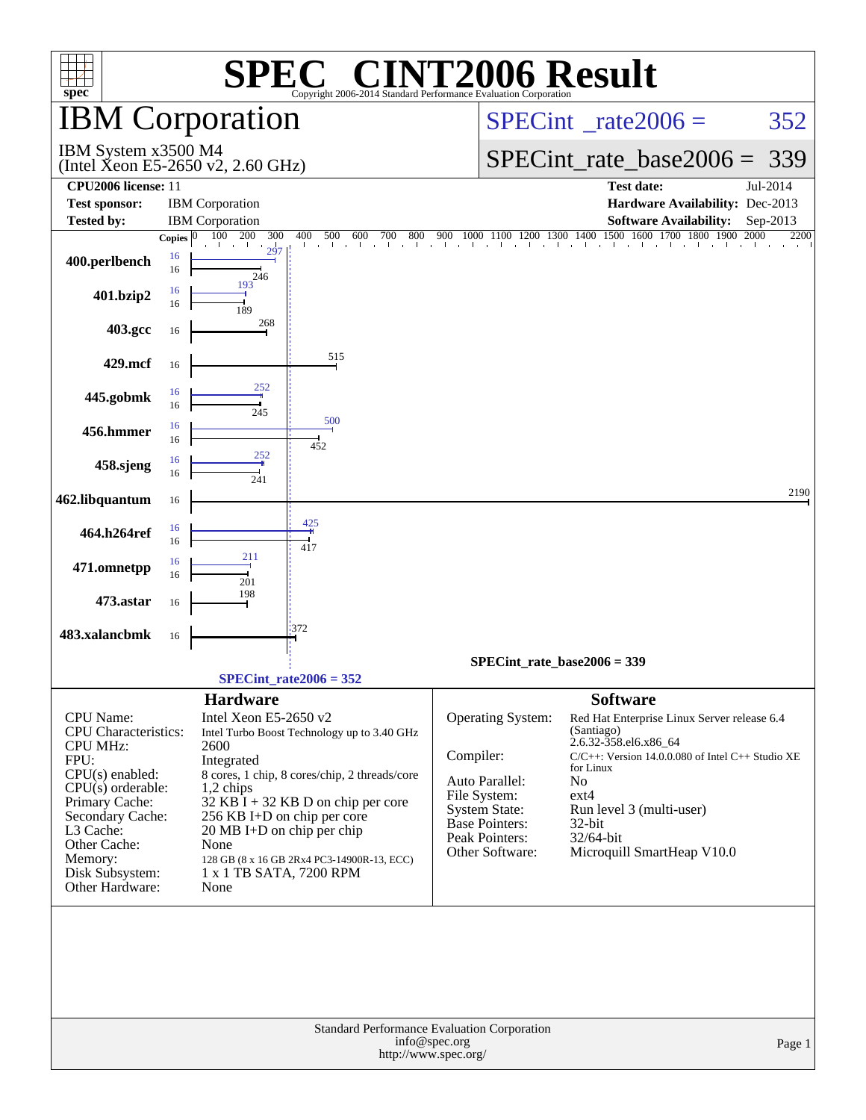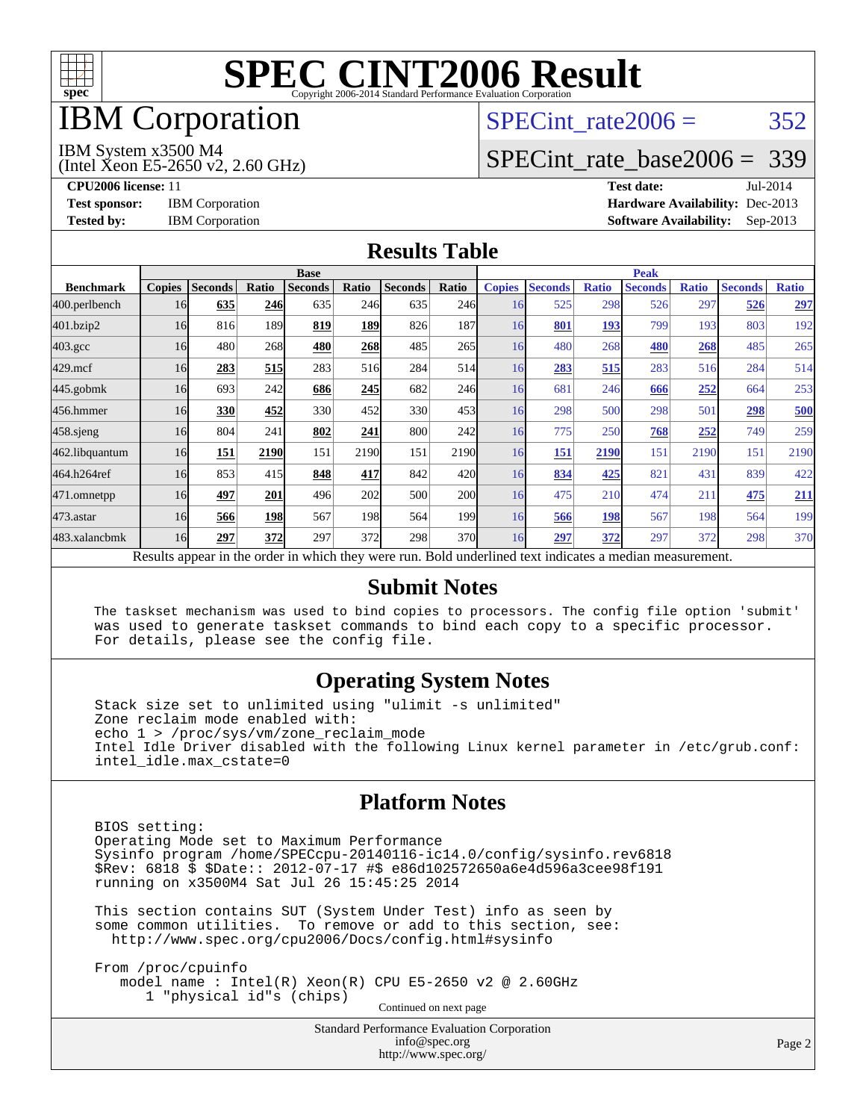

### IBM Corporation

## SPECint rate $2006 = 352$

#### IBM System x3500 M4

(Intel Xeon E5-2650 v2, 2.60 GHz)

[SPECint\\_rate\\_base2006 =](http://www.spec.org/auto/cpu2006/Docs/result-fields.html#SPECintratebase2006) 339

**[CPU2006 license:](http://www.spec.org/auto/cpu2006/Docs/result-fields.html#CPU2006license)** 11 **[Test date:](http://www.spec.org/auto/cpu2006/Docs/result-fields.html#Testdate)** Jul-2014 **[Test sponsor:](http://www.spec.org/auto/cpu2006/Docs/result-fields.html#Testsponsor)** IBM Corporation **[Hardware Availability:](http://www.spec.org/auto/cpu2006/Docs/result-fields.html#HardwareAvailability)** Dec-2013 **[Tested by:](http://www.spec.org/auto/cpu2006/Docs/result-fields.html#Testedby)** IBM Corporation **[Software Availability:](http://www.spec.org/auto/cpu2006/Docs/result-fields.html#SoftwareAvailability)** Sep-2013

#### **[Results Table](http://www.spec.org/auto/cpu2006/Docs/result-fields.html#ResultsTable)**

|                    | <b>Base</b>   |                |       |                                                                                                          |            |                |       | <b>Peak</b>   |                |              |                |              |                |              |
|--------------------|---------------|----------------|-------|----------------------------------------------------------------------------------------------------------|------------|----------------|-------|---------------|----------------|--------------|----------------|--------------|----------------|--------------|
| <b>Benchmark</b>   | <b>Copies</b> | <b>Seconds</b> | Ratio | <b>Seconds</b>                                                                                           | Ratio      | <b>Seconds</b> | Ratio | <b>Copies</b> | <b>Seconds</b> | <b>Ratio</b> | <b>Seconds</b> | <b>Ratio</b> | <b>Seconds</b> | <b>Ratio</b> |
| 400.perlbench      | 16            | 635            | 246   | 635                                                                                                      | 246        | 635            | 246   | 16            | 525            | 298          | 526            | 297          | 526            | 297          |
| 401.bzip2          | 16            | 816            | 189   | 819                                                                                                      | <u>189</u> | 826            | 187   | 16            | 801            | 193          | 799            | 193          | 803            | 192          |
| $403.\mathrm{gcc}$ | 16            | 480            | 268   | 480                                                                                                      | 268        | 485            | 265   | 16            | 480            | 268          | 480            | 268          | 485            | 265          |
| $429$ .mcf         | 16            | 283            | 515   | 283                                                                                                      | 516        | 284            | 514   | 16            | 283            | 515          | 283            | 516          | 284            | 514          |
| $445$ .gobmk       | 16            | 693            | 242   | 686                                                                                                      | 245        | 682            | 246   | 16            | 681            | 246          | 666            | 252          | 664            | 253          |
| 456.hmmer          | 16            | 330            | 452   | 330                                                                                                      | 452        | 330            | 453   | 16            | 298            | 500          | 298            | 501          | 298            | 500          |
| $458$ .sjeng       | 16            | 804            | 241   | 802                                                                                                      | 241        | 800            | 242   | 16            | 775            | 250          | 768            | 252          | 749            | 259          |
| 462.libquantum     | 16            | 151            | 2190  | 151                                                                                                      | 2190       | 151            | 2190  | 16            | <u>151</u>     | 2190         | 151            | 2190         | 151            | 2190         |
| 464.h264ref        | 16            | 853            | 415   | 848                                                                                                      | 417        | 842            | 420l  | 16            | 834            | 425          | 821            | 431          | 839            | 422          |
| 471.omnetpp        | 16            | 497            | 201   | 496                                                                                                      | 202        | 500            | 200   | 16            | 475            | 210          | 474            | 211          | 475            | <u>211</u>   |
| 473.astar          | 16            | 566            | 198   | 567                                                                                                      | 198        | 564            | 199   | 16            | 566            | 198          | 567            | 198          | 564            | 199          |
| 483.xalancbmk      | 16            | 297            | 372   | 297                                                                                                      | 372        | 298            | 370l  | 16            | 297            | 372          | 297            | 372          | 298            | 370          |
|                    |               |                |       | Results appear in the order in which they were run. Bold underlined text indicates a median measurement. |            |                |       |               |                |              |                |              |                |              |

#### **[Submit Notes](http://www.spec.org/auto/cpu2006/Docs/result-fields.html#SubmitNotes)**

 The taskset mechanism was used to bind copies to processors. The config file option 'submit' was used to generate taskset commands to bind each copy to a specific processor. For details, please see the config file.

#### **[Operating System Notes](http://www.spec.org/auto/cpu2006/Docs/result-fields.html#OperatingSystemNotes)**

 Stack size set to unlimited using "ulimit -s unlimited" Zone reclaim mode enabled with: echo 1 > /proc/sys/vm/zone\_reclaim\_mode Intel Idle Driver disabled with the following Linux kernel parameter in /etc/grub.conf: intel\_idle.max\_cstate=0

#### **[Platform Notes](http://www.spec.org/auto/cpu2006/Docs/result-fields.html#PlatformNotes)**

 BIOS setting: Operating Mode set to Maximum Performance Sysinfo program /home/SPECcpu-20140116-ic14.0/config/sysinfo.rev6818 \$Rev: 6818 \$ \$Date:: 2012-07-17 #\$ e86d102572650a6e4d596a3cee98f191 running on x3500M4 Sat Jul 26 15:45:25 2014

 This section contains SUT (System Under Test) info as seen by some common utilities. To remove or add to this section, see: <http://www.spec.org/cpu2006/Docs/config.html#sysinfo>

 From /proc/cpuinfo model name : Intel(R) Xeon(R) CPU E5-2650 v2 @ 2.60GHz 1 "physical id"s (chips) Continued on next page

> Standard Performance Evaluation Corporation [info@spec.org](mailto:info@spec.org) <http://www.spec.org/>

Page 2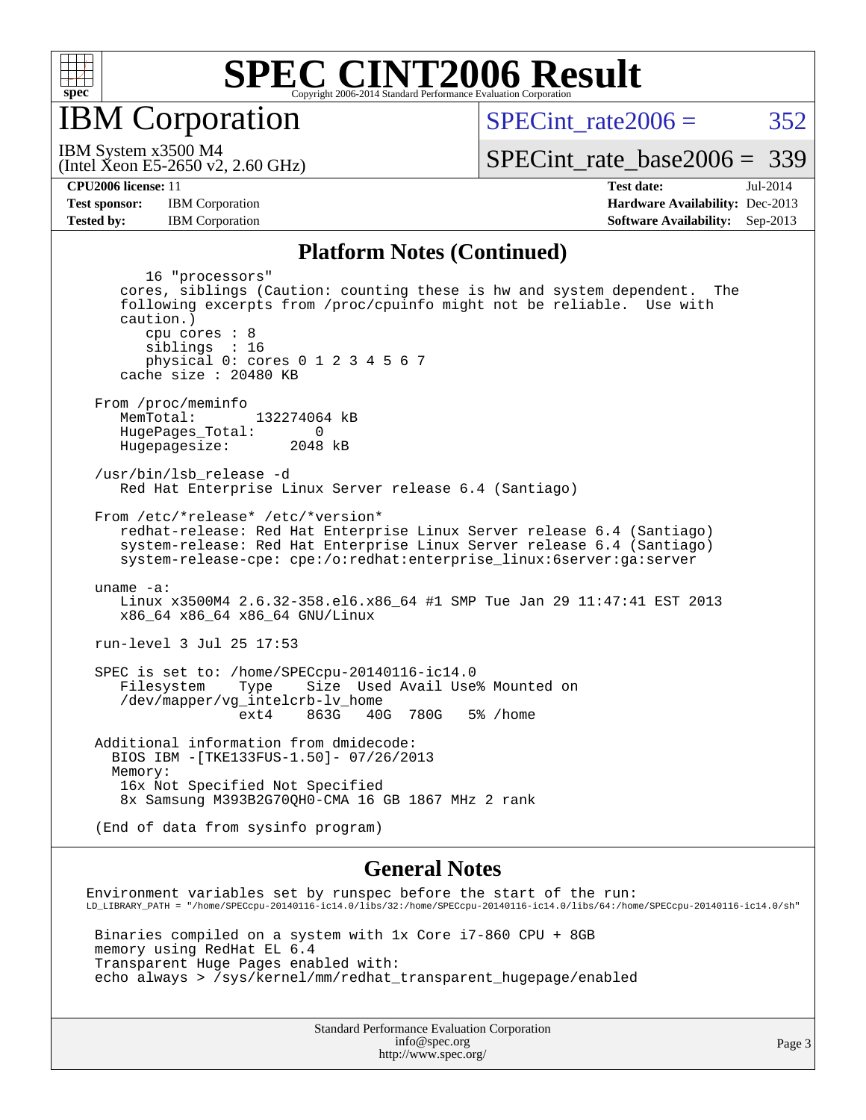

**IBM** Corporation

SPECint rate $2006 = 352$ 

(Intel Xeon E5-2650 v2, 2.60 GHz) IBM System x3500 M4

[SPECint\\_rate\\_base2006 =](http://www.spec.org/auto/cpu2006/Docs/result-fields.html#SPECintratebase2006) 339

**[CPU2006 license:](http://www.spec.org/auto/cpu2006/Docs/result-fields.html#CPU2006license)** 11 **[Test date:](http://www.spec.org/auto/cpu2006/Docs/result-fields.html#Testdate)** Jul-2014 **[Test sponsor:](http://www.spec.org/auto/cpu2006/Docs/result-fields.html#Testsponsor)** IBM Corporation **[Hardware Availability:](http://www.spec.org/auto/cpu2006/Docs/result-fields.html#HardwareAvailability)** Dec-2013 **[Tested by:](http://www.spec.org/auto/cpu2006/Docs/result-fields.html#Testedby)** IBM Corporation **[Software Availability:](http://www.spec.org/auto/cpu2006/Docs/result-fields.html#SoftwareAvailability)** Sep-2013

#### **[Platform Notes \(Continued\)](http://www.spec.org/auto/cpu2006/Docs/result-fields.html#PlatformNotes)**

 16 "processors" cores, siblings (Caution: counting these is hw and system dependent. The following excerpts from /proc/cpuinfo might not be reliable. Use with caution.) cpu cores : 8 siblings : 16 physical 0: cores 0 1 2 3 4 5 6 7 cache size : 20480 KB From /proc/meminfo<br>MemTotal: 132274064 kB HugePages\_Total: 0 Hugepagesize: 2048 kB /usr/bin/lsb\_release -d Red Hat Enterprise Linux Server release 6.4 (Santiago) From /etc/\*release\* /etc/\*version\* redhat-release: Red Hat Enterprise Linux Server release 6.4 (Santiago) system-release: Red Hat Enterprise Linux Server release 6.4 (Santiago) system-release-cpe: cpe:/o:redhat:enterprise\_linux:6server:ga:server uname -a: Linux x3500M4 2.6.32-358.el6.x86\_64 #1 SMP Tue Jan 29 11:47:41 EST 2013 x86\_64 x86\_64 x86\_64 GNU/Linux run-level 3 Jul 25 17:53 SPEC is set to: /home/SPECcpu-20140116-ic14.0 Filesystem Type Size Used Avail Use% Mounted on /dev/mapper/vg\_intelcrb-lv\_home ext4 863G 40G 780G 5% /home Additional information from dmidecode: BIOS IBM -[TKE133FUS-1.50]- 07/26/2013 Memory: 16x Not Specified Not Specified 8x Samsung M393B2G70QH0-CMA 16 GB 1867 MHz 2 rank (End of data from sysinfo program) **[General Notes](http://www.spec.org/auto/cpu2006/Docs/result-fields.html#GeneralNotes)** Environment variables set by runspec before the start of the run: LD\_LIBRARY\_PATH = "/home/SPECcpu-20140116-ic14.0/libs/32:/home/SPECcpu-20140116-ic14.0/libs/64:/home/SPECcpu-20140116-ic14.0/sh" Binaries compiled on a system with 1x Core i7-860 CPU + 8GB

 memory using RedHat EL 6.4 Transparent Huge Pages enabled with: echo always > /sys/kernel/mm/redhat\_transparent\_hugepage/enabled

> Standard Performance Evaluation Corporation [info@spec.org](mailto:info@spec.org) <http://www.spec.org/>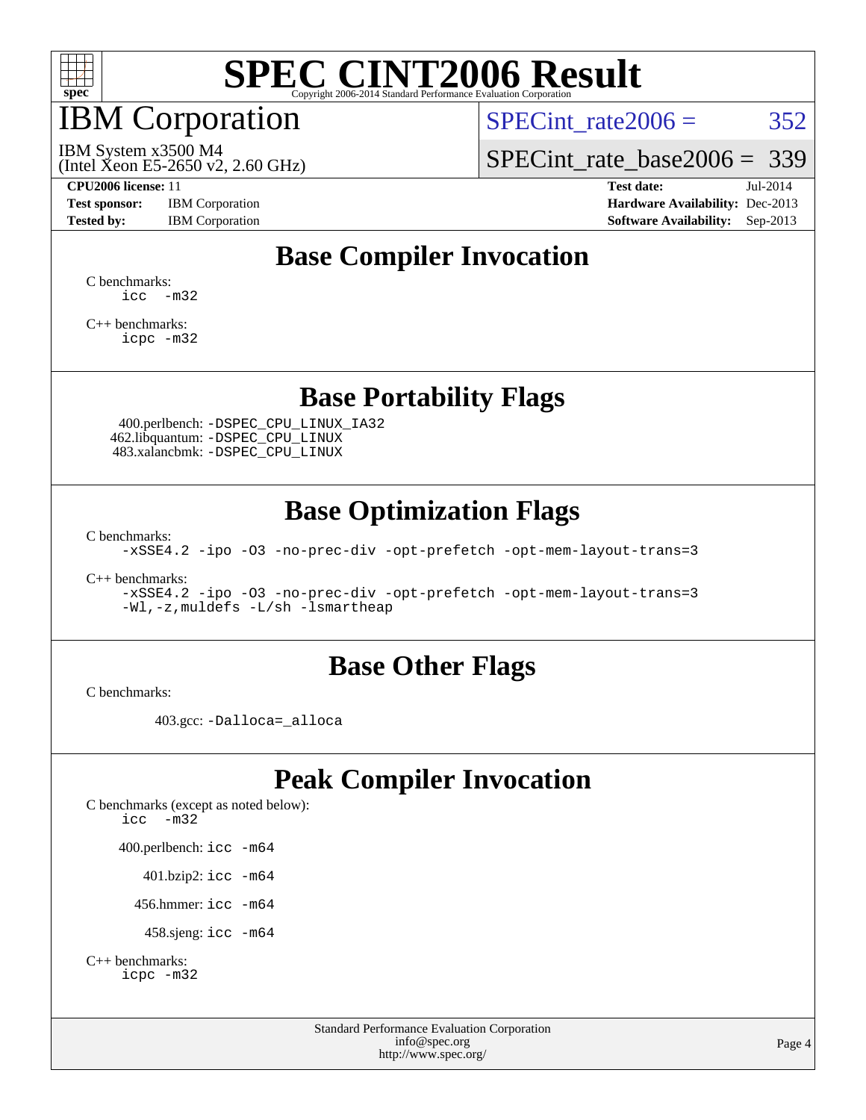

#### IBM Corporation

SPECint rate $2006 = 352$ 

(Intel Xeon E5-2650 v2, 2.60 GHz) IBM System x3500 M4

[SPECint\\_rate\\_base2006 =](http://www.spec.org/auto/cpu2006/Docs/result-fields.html#SPECintratebase2006) 339

**[Test sponsor:](http://www.spec.org/auto/cpu2006/Docs/result-fields.html#Testsponsor)** IBM Corporation **[Hardware Availability:](http://www.spec.org/auto/cpu2006/Docs/result-fields.html#HardwareAvailability)** Dec-2013

**[CPU2006 license:](http://www.spec.org/auto/cpu2006/Docs/result-fields.html#CPU2006license)** 11 **[Test date:](http://www.spec.org/auto/cpu2006/Docs/result-fields.html#Testdate)** Jul-2014 **[Tested by:](http://www.spec.org/auto/cpu2006/Docs/result-fields.html#Testedby)** IBM Corporation **[Software Availability:](http://www.spec.org/auto/cpu2006/Docs/result-fields.html#SoftwareAvailability)** Sep-2013

### **[Base Compiler Invocation](http://www.spec.org/auto/cpu2006/Docs/result-fields.html#BaseCompilerInvocation)**

[C benchmarks](http://www.spec.org/auto/cpu2006/Docs/result-fields.html#Cbenchmarks):  $\text{icc}$   $-\text{m32}$ 

[C++ benchmarks:](http://www.spec.org/auto/cpu2006/Docs/result-fields.html#CXXbenchmarks) [icpc -m32](http://www.spec.org/cpu2006/results/res2014q3/cpu2006-20140728-30641.flags.html#user_CXXbase_intel_icpc_4e5a5ef1a53fd332b3c49e69c3330699)

#### **[Base Portability Flags](http://www.spec.org/auto/cpu2006/Docs/result-fields.html#BasePortabilityFlags)**

 400.perlbench: [-DSPEC\\_CPU\\_LINUX\\_IA32](http://www.spec.org/cpu2006/results/res2014q3/cpu2006-20140728-30641.flags.html#b400.perlbench_baseCPORTABILITY_DSPEC_CPU_LINUX_IA32) 462.libquantum: [-DSPEC\\_CPU\\_LINUX](http://www.spec.org/cpu2006/results/res2014q3/cpu2006-20140728-30641.flags.html#b462.libquantum_baseCPORTABILITY_DSPEC_CPU_LINUX) 483.xalancbmk: [-DSPEC\\_CPU\\_LINUX](http://www.spec.org/cpu2006/results/res2014q3/cpu2006-20140728-30641.flags.html#b483.xalancbmk_baseCXXPORTABILITY_DSPEC_CPU_LINUX)

#### **[Base Optimization Flags](http://www.spec.org/auto/cpu2006/Docs/result-fields.html#BaseOptimizationFlags)**

[C benchmarks](http://www.spec.org/auto/cpu2006/Docs/result-fields.html#Cbenchmarks):

[-xSSE4.2](http://www.spec.org/cpu2006/results/res2014q3/cpu2006-20140728-30641.flags.html#user_CCbase_f-xSSE42_f91528193cf0b216347adb8b939d4107) [-ipo](http://www.spec.org/cpu2006/results/res2014q3/cpu2006-20140728-30641.flags.html#user_CCbase_f-ipo) [-O3](http://www.spec.org/cpu2006/results/res2014q3/cpu2006-20140728-30641.flags.html#user_CCbase_f-O3) [-no-prec-div](http://www.spec.org/cpu2006/results/res2014q3/cpu2006-20140728-30641.flags.html#user_CCbase_f-no-prec-div) [-opt-prefetch](http://www.spec.org/cpu2006/results/res2014q3/cpu2006-20140728-30641.flags.html#user_CCbase_f-opt-prefetch) [-opt-mem-layout-trans=3](http://www.spec.org/cpu2006/results/res2014q3/cpu2006-20140728-30641.flags.html#user_CCbase_f-opt-mem-layout-trans_a7b82ad4bd7abf52556d4961a2ae94d5)

[C++ benchmarks:](http://www.spec.org/auto/cpu2006/Docs/result-fields.html#CXXbenchmarks)

[-xSSE4.2](http://www.spec.org/cpu2006/results/res2014q3/cpu2006-20140728-30641.flags.html#user_CXXbase_f-xSSE42_f91528193cf0b216347adb8b939d4107) [-ipo](http://www.spec.org/cpu2006/results/res2014q3/cpu2006-20140728-30641.flags.html#user_CXXbase_f-ipo) [-O3](http://www.spec.org/cpu2006/results/res2014q3/cpu2006-20140728-30641.flags.html#user_CXXbase_f-O3) [-no-prec-div](http://www.spec.org/cpu2006/results/res2014q3/cpu2006-20140728-30641.flags.html#user_CXXbase_f-no-prec-div) [-opt-prefetch](http://www.spec.org/cpu2006/results/res2014q3/cpu2006-20140728-30641.flags.html#user_CXXbase_f-opt-prefetch) [-opt-mem-layout-trans=3](http://www.spec.org/cpu2006/results/res2014q3/cpu2006-20140728-30641.flags.html#user_CXXbase_f-opt-mem-layout-trans_a7b82ad4bd7abf52556d4961a2ae94d5) [-Wl,-z,muldefs](http://www.spec.org/cpu2006/results/res2014q3/cpu2006-20140728-30641.flags.html#user_CXXbase_link_force_multiple1_74079c344b956b9658436fd1b6dd3a8a) [-L/sh -lsmartheap](http://www.spec.org/cpu2006/results/res2014q3/cpu2006-20140728-30641.flags.html#user_CXXbase_SmartHeap_32f6c82aa1ed9c52345d30cf6e4a0499)

#### **[Base Other Flags](http://www.spec.org/auto/cpu2006/Docs/result-fields.html#BaseOtherFlags)**

[C benchmarks](http://www.spec.org/auto/cpu2006/Docs/result-fields.html#Cbenchmarks):

403.gcc: [-Dalloca=\\_alloca](http://www.spec.org/cpu2006/results/res2014q3/cpu2006-20140728-30641.flags.html#b403.gcc_baseEXTRA_CFLAGS_Dalloca_be3056838c12de2578596ca5467af7f3)

#### **[Peak Compiler Invocation](http://www.spec.org/auto/cpu2006/Docs/result-fields.html#PeakCompilerInvocation)**

[C benchmarks \(except as noted below\)](http://www.spec.org/auto/cpu2006/Docs/result-fields.html#Cbenchmarksexceptasnotedbelow): [icc -m32](http://www.spec.org/cpu2006/results/res2014q3/cpu2006-20140728-30641.flags.html#user_CCpeak_intel_icc_5ff4a39e364c98233615fdd38438c6f2) 400.perlbench: [icc -m64](http://www.spec.org/cpu2006/results/res2014q3/cpu2006-20140728-30641.flags.html#user_peakCCLD400_perlbench_intel_icc_64bit_bda6cc9af1fdbb0edc3795bac97ada53) 401.bzip2: [icc -m64](http://www.spec.org/cpu2006/results/res2014q3/cpu2006-20140728-30641.flags.html#user_peakCCLD401_bzip2_intel_icc_64bit_bda6cc9af1fdbb0edc3795bac97ada53)

456.hmmer: [icc -m64](http://www.spec.org/cpu2006/results/res2014q3/cpu2006-20140728-30641.flags.html#user_peakCCLD456_hmmer_intel_icc_64bit_bda6cc9af1fdbb0edc3795bac97ada53)

458.sjeng: [icc -m64](http://www.spec.org/cpu2006/results/res2014q3/cpu2006-20140728-30641.flags.html#user_peakCCLD458_sjeng_intel_icc_64bit_bda6cc9af1fdbb0edc3795bac97ada53)

```
C++ benchmarks: 
icpc -m32
```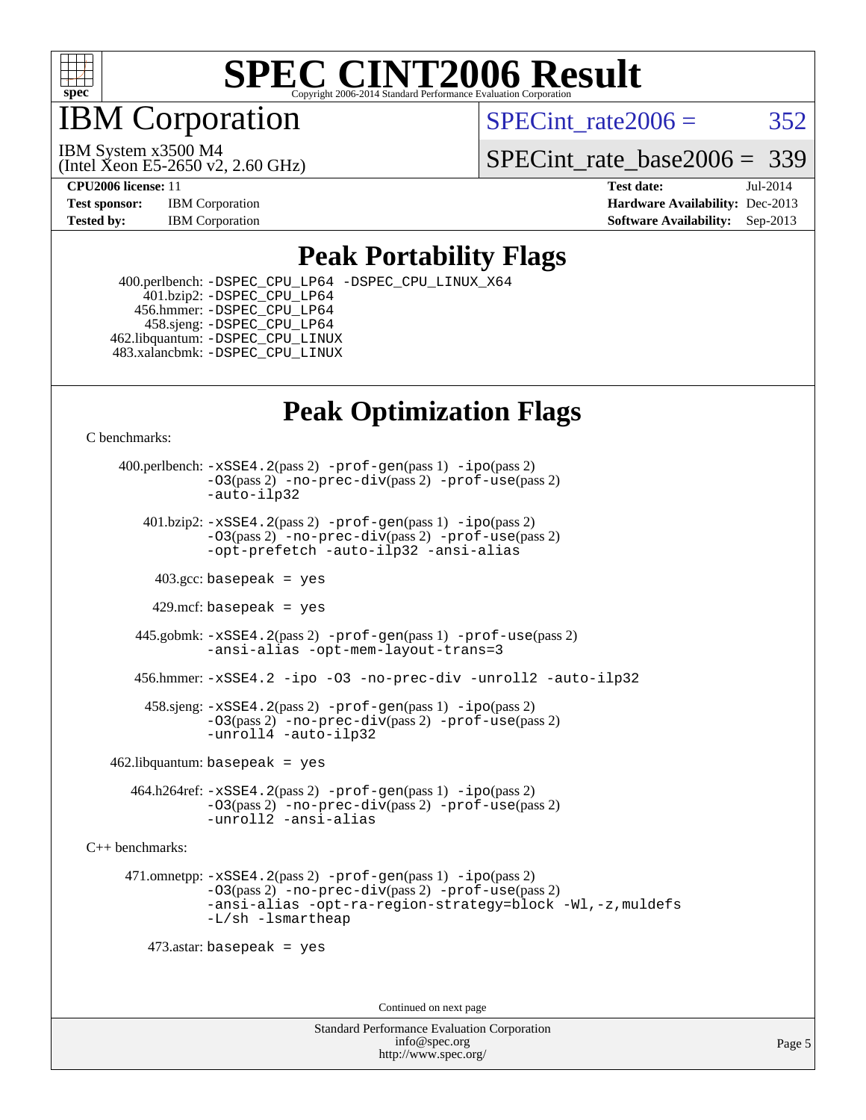

IBM Corporation

SPECint rate $2006 = 352$ 

(Intel Xeon E5-2650 v2, 2.60 GHz) IBM System x3500 M4

SPECint rate base  $2006 = 339$ 

**[CPU2006 license:](http://www.spec.org/auto/cpu2006/Docs/result-fields.html#CPU2006license)** 11 **[Test date:](http://www.spec.org/auto/cpu2006/Docs/result-fields.html#Testdate)** Jul-2014 **[Test sponsor:](http://www.spec.org/auto/cpu2006/Docs/result-fields.html#Testsponsor)** IBM Corporation **[Hardware Availability:](http://www.spec.org/auto/cpu2006/Docs/result-fields.html#HardwareAvailability)** Dec-2013 **[Tested by:](http://www.spec.org/auto/cpu2006/Docs/result-fields.html#Testedby)** IBM Corporation **[Software Availability:](http://www.spec.org/auto/cpu2006/Docs/result-fields.html#SoftwareAvailability)** Sep-2013

#### **[Peak Portability Flags](http://www.spec.org/auto/cpu2006/Docs/result-fields.html#PeakPortabilityFlags)**

 400.perlbench: [-DSPEC\\_CPU\\_LP64](http://www.spec.org/cpu2006/results/res2014q3/cpu2006-20140728-30641.flags.html#b400.perlbench_peakCPORTABILITY_DSPEC_CPU_LP64) [-DSPEC\\_CPU\\_LINUX\\_X64](http://www.spec.org/cpu2006/results/res2014q3/cpu2006-20140728-30641.flags.html#b400.perlbench_peakCPORTABILITY_DSPEC_CPU_LINUX_X64) 401.bzip2: [-DSPEC\\_CPU\\_LP64](http://www.spec.org/cpu2006/results/res2014q3/cpu2006-20140728-30641.flags.html#suite_peakCPORTABILITY401_bzip2_DSPEC_CPU_LP64) 456.hmmer: [-DSPEC\\_CPU\\_LP64](http://www.spec.org/cpu2006/results/res2014q3/cpu2006-20140728-30641.flags.html#suite_peakCPORTABILITY456_hmmer_DSPEC_CPU_LP64) 458.sjeng: [-DSPEC\\_CPU\\_LP64](http://www.spec.org/cpu2006/results/res2014q3/cpu2006-20140728-30641.flags.html#suite_peakCPORTABILITY458_sjeng_DSPEC_CPU_LP64) 462.libquantum: [-DSPEC\\_CPU\\_LINUX](http://www.spec.org/cpu2006/results/res2014q3/cpu2006-20140728-30641.flags.html#b462.libquantum_peakCPORTABILITY_DSPEC_CPU_LINUX) 483.xalancbmk: [-DSPEC\\_CPU\\_LINUX](http://www.spec.org/cpu2006/results/res2014q3/cpu2006-20140728-30641.flags.html#b483.xalancbmk_peakCXXPORTABILITY_DSPEC_CPU_LINUX)

### **[Peak Optimization Flags](http://www.spec.org/auto/cpu2006/Docs/result-fields.html#PeakOptimizationFlags)**

[C benchmarks](http://www.spec.org/auto/cpu2006/Docs/result-fields.html#Cbenchmarks):

 400.perlbench: [-xSSE4.2](http://www.spec.org/cpu2006/results/res2014q3/cpu2006-20140728-30641.flags.html#user_peakPASS2_CFLAGSPASS2_LDCFLAGS400_perlbench_f-xSSE42_f91528193cf0b216347adb8b939d4107)(pass 2) [-prof-gen](http://www.spec.org/cpu2006/results/res2014q3/cpu2006-20140728-30641.flags.html#user_peakPASS1_CFLAGSPASS1_LDCFLAGS400_perlbench_prof_gen_e43856698f6ca7b7e442dfd80e94a8fc)(pass 1) [-ipo](http://www.spec.org/cpu2006/results/res2014q3/cpu2006-20140728-30641.flags.html#user_peakPASS2_CFLAGSPASS2_LDCFLAGS400_perlbench_f-ipo)(pass 2) [-O3](http://www.spec.org/cpu2006/results/res2014q3/cpu2006-20140728-30641.flags.html#user_peakPASS2_CFLAGSPASS2_LDCFLAGS400_perlbench_f-O3)(pass 2) [-no-prec-div](http://www.spec.org/cpu2006/results/res2014q3/cpu2006-20140728-30641.flags.html#user_peakPASS2_CFLAGSPASS2_LDCFLAGS400_perlbench_f-no-prec-div)(pass 2) [-prof-use](http://www.spec.org/cpu2006/results/res2014q3/cpu2006-20140728-30641.flags.html#user_peakPASS2_CFLAGSPASS2_LDCFLAGS400_perlbench_prof_use_bccf7792157ff70d64e32fe3e1250b55)(pass 2) [-auto-ilp32](http://www.spec.org/cpu2006/results/res2014q3/cpu2006-20140728-30641.flags.html#user_peakCOPTIMIZE400_perlbench_f-auto-ilp32)  $401.bzip2: -xSSE4.2(pass 2) -prof-qen(pass 1) -ipo(pass 2)$  $401.bzip2: -xSSE4.2(pass 2) -prof-qen(pass 1) -ipo(pass 2)$  $401.bzip2: -xSSE4.2(pass 2) -prof-qen(pass 1) -ipo(pass 2)$  $401.bzip2: -xSSE4.2(pass 2) -prof-qen(pass 1) -ipo(pass 2)$  $401.bzip2: -xSSE4.2(pass 2) -prof-qen(pass 1) -ipo(pass 2)$ [-O3](http://www.spec.org/cpu2006/results/res2014q3/cpu2006-20140728-30641.flags.html#user_peakPASS2_CFLAGSPASS2_LDCFLAGS401_bzip2_f-O3)(pass 2) [-no-prec-div](http://www.spec.org/cpu2006/results/res2014q3/cpu2006-20140728-30641.flags.html#user_peakPASS2_CFLAGSPASS2_LDCFLAGS401_bzip2_f-no-prec-div)(pass 2) [-prof-use](http://www.spec.org/cpu2006/results/res2014q3/cpu2006-20140728-30641.flags.html#user_peakPASS2_CFLAGSPASS2_LDCFLAGS401_bzip2_prof_use_bccf7792157ff70d64e32fe3e1250b55)(pass 2) [-opt-prefetch](http://www.spec.org/cpu2006/results/res2014q3/cpu2006-20140728-30641.flags.html#user_peakCOPTIMIZE401_bzip2_f-opt-prefetch) [-auto-ilp32](http://www.spec.org/cpu2006/results/res2014q3/cpu2006-20140728-30641.flags.html#user_peakCOPTIMIZE401_bzip2_f-auto-ilp32) [-ansi-alias](http://www.spec.org/cpu2006/results/res2014q3/cpu2006-20140728-30641.flags.html#user_peakCOPTIMIZE401_bzip2_f-ansi-alias)  $403.\text{sec: basepeak}$  = yes 429.mcf: basepeak = yes 445.gobmk: [-xSSE4.2](http://www.spec.org/cpu2006/results/res2014q3/cpu2006-20140728-30641.flags.html#user_peakPASS2_CFLAGSPASS2_LDCFLAGS445_gobmk_f-xSSE42_f91528193cf0b216347adb8b939d4107)(pass 2) [-prof-gen](http://www.spec.org/cpu2006/results/res2014q3/cpu2006-20140728-30641.flags.html#user_peakPASS1_CFLAGSPASS1_LDCFLAGS445_gobmk_prof_gen_e43856698f6ca7b7e442dfd80e94a8fc)(pass 1) [-prof-use](http://www.spec.org/cpu2006/results/res2014q3/cpu2006-20140728-30641.flags.html#user_peakPASS2_CFLAGSPASS2_LDCFLAGS445_gobmk_prof_use_bccf7792157ff70d64e32fe3e1250b55)(pass 2) [-ansi-alias](http://www.spec.org/cpu2006/results/res2014q3/cpu2006-20140728-30641.flags.html#user_peakCOPTIMIZE445_gobmk_f-ansi-alias) [-opt-mem-layout-trans=3](http://www.spec.org/cpu2006/results/res2014q3/cpu2006-20140728-30641.flags.html#user_peakCOPTIMIZE445_gobmk_f-opt-mem-layout-trans_a7b82ad4bd7abf52556d4961a2ae94d5) 456.hmmer: [-xSSE4.2](http://www.spec.org/cpu2006/results/res2014q3/cpu2006-20140728-30641.flags.html#user_peakCOPTIMIZE456_hmmer_f-xSSE42_f91528193cf0b216347adb8b939d4107) [-ipo](http://www.spec.org/cpu2006/results/res2014q3/cpu2006-20140728-30641.flags.html#user_peakCOPTIMIZE456_hmmer_f-ipo) [-O3](http://www.spec.org/cpu2006/results/res2014q3/cpu2006-20140728-30641.flags.html#user_peakCOPTIMIZE456_hmmer_f-O3) [-no-prec-div](http://www.spec.org/cpu2006/results/res2014q3/cpu2006-20140728-30641.flags.html#user_peakCOPTIMIZE456_hmmer_f-no-prec-div) [-unroll2](http://www.spec.org/cpu2006/results/res2014q3/cpu2006-20140728-30641.flags.html#user_peakCOPTIMIZE456_hmmer_f-unroll_784dae83bebfb236979b41d2422d7ec2) [-auto-ilp32](http://www.spec.org/cpu2006/results/res2014q3/cpu2006-20140728-30641.flags.html#user_peakCOPTIMIZE456_hmmer_f-auto-ilp32) 458.sjeng: [-xSSE4.2](http://www.spec.org/cpu2006/results/res2014q3/cpu2006-20140728-30641.flags.html#user_peakPASS2_CFLAGSPASS2_LDCFLAGS458_sjeng_f-xSSE42_f91528193cf0b216347adb8b939d4107)(pass 2) [-prof-gen](http://www.spec.org/cpu2006/results/res2014q3/cpu2006-20140728-30641.flags.html#user_peakPASS1_CFLAGSPASS1_LDCFLAGS458_sjeng_prof_gen_e43856698f6ca7b7e442dfd80e94a8fc)(pass 1) [-ipo](http://www.spec.org/cpu2006/results/res2014q3/cpu2006-20140728-30641.flags.html#user_peakPASS2_CFLAGSPASS2_LDCFLAGS458_sjeng_f-ipo)(pass 2) [-O3](http://www.spec.org/cpu2006/results/res2014q3/cpu2006-20140728-30641.flags.html#user_peakPASS2_CFLAGSPASS2_LDCFLAGS458_sjeng_f-O3)(pass 2) [-no-prec-div](http://www.spec.org/cpu2006/results/res2014q3/cpu2006-20140728-30641.flags.html#user_peakPASS2_CFLAGSPASS2_LDCFLAGS458_sjeng_f-no-prec-div)(pass 2) [-prof-use](http://www.spec.org/cpu2006/results/res2014q3/cpu2006-20140728-30641.flags.html#user_peakPASS2_CFLAGSPASS2_LDCFLAGS458_sjeng_prof_use_bccf7792157ff70d64e32fe3e1250b55)(pass 2) [-unroll4](http://www.spec.org/cpu2006/results/res2014q3/cpu2006-20140728-30641.flags.html#user_peakCOPTIMIZE458_sjeng_f-unroll_4e5e4ed65b7fd20bdcd365bec371b81f) [-auto-ilp32](http://www.spec.org/cpu2006/results/res2014q3/cpu2006-20140728-30641.flags.html#user_peakCOPTIMIZE458_sjeng_f-auto-ilp32)  $462$ .libquantum: basepeak = yes 464.h264ref: [-xSSE4.2](http://www.spec.org/cpu2006/results/res2014q3/cpu2006-20140728-30641.flags.html#user_peakPASS2_CFLAGSPASS2_LDCFLAGS464_h264ref_f-xSSE42_f91528193cf0b216347adb8b939d4107)(pass 2) [-prof-gen](http://www.spec.org/cpu2006/results/res2014q3/cpu2006-20140728-30641.flags.html#user_peakPASS1_CFLAGSPASS1_LDCFLAGS464_h264ref_prof_gen_e43856698f6ca7b7e442dfd80e94a8fc)(pass 1) [-ipo](http://www.spec.org/cpu2006/results/res2014q3/cpu2006-20140728-30641.flags.html#user_peakPASS2_CFLAGSPASS2_LDCFLAGS464_h264ref_f-ipo)(pass 2) [-O3](http://www.spec.org/cpu2006/results/res2014q3/cpu2006-20140728-30641.flags.html#user_peakPASS2_CFLAGSPASS2_LDCFLAGS464_h264ref_f-O3)(pass 2) [-no-prec-div](http://www.spec.org/cpu2006/results/res2014q3/cpu2006-20140728-30641.flags.html#user_peakPASS2_CFLAGSPASS2_LDCFLAGS464_h264ref_f-no-prec-div)(pass 2) [-prof-use](http://www.spec.org/cpu2006/results/res2014q3/cpu2006-20140728-30641.flags.html#user_peakPASS2_CFLAGSPASS2_LDCFLAGS464_h264ref_prof_use_bccf7792157ff70d64e32fe3e1250b55)(pass 2) [-unroll2](http://www.spec.org/cpu2006/results/res2014q3/cpu2006-20140728-30641.flags.html#user_peakCOPTIMIZE464_h264ref_f-unroll_784dae83bebfb236979b41d2422d7ec2) [-ansi-alias](http://www.spec.org/cpu2006/results/res2014q3/cpu2006-20140728-30641.flags.html#user_peakCOPTIMIZE464_h264ref_f-ansi-alias) [C++ benchmarks:](http://www.spec.org/auto/cpu2006/Docs/result-fields.html#CXXbenchmarks) 471.omnetpp: [-xSSE4.2](http://www.spec.org/cpu2006/results/res2014q3/cpu2006-20140728-30641.flags.html#user_peakPASS2_CXXFLAGSPASS2_LDCXXFLAGS471_omnetpp_f-xSSE42_f91528193cf0b216347adb8b939d4107)(pass 2) [-prof-gen](http://www.spec.org/cpu2006/results/res2014q3/cpu2006-20140728-30641.flags.html#user_peakPASS1_CXXFLAGSPASS1_LDCXXFLAGS471_omnetpp_prof_gen_e43856698f6ca7b7e442dfd80e94a8fc)(pass 1) [-ipo](http://www.spec.org/cpu2006/results/res2014q3/cpu2006-20140728-30641.flags.html#user_peakPASS2_CXXFLAGSPASS2_LDCXXFLAGS471_omnetpp_f-ipo)(pass 2) [-O3](http://www.spec.org/cpu2006/results/res2014q3/cpu2006-20140728-30641.flags.html#user_peakPASS2_CXXFLAGSPASS2_LDCXXFLAGS471_omnetpp_f-O3)(pass 2) [-no-prec-div](http://www.spec.org/cpu2006/results/res2014q3/cpu2006-20140728-30641.flags.html#user_peakPASS2_CXXFLAGSPASS2_LDCXXFLAGS471_omnetpp_f-no-prec-div)(pass 2) [-prof-use](http://www.spec.org/cpu2006/results/res2014q3/cpu2006-20140728-30641.flags.html#user_peakPASS2_CXXFLAGSPASS2_LDCXXFLAGS471_omnetpp_prof_use_bccf7792157ff70d64e32fe3e1250b55)(pass 2) [-ansi-alias](http://www.spec.org/cpu2006/results/res2014q3/cpu2006-20140728-30641.flags.html#user_peakCXXOPTIMIZE471_omnetpp_f-ansi-alias) [-opt-ra-region-strategy=block](http://www.spec.org/cpu2006/results/res2014q3/cpu2006-20140728-30641.flags.html#user_peakCXXOPTIMIZE471_omnetpp_f-opt-ra-region-strategy_a0a37c372d03933b2a18d4af463c1f69) [-Wl,-z,muldefs](http://www.spec.org/cpu2006/results/res2014q3/cpu2006-20140728-30641.flags.html#user_peakEXTRA_LDFLAGS471_omnetpp_link_force_multiple1_74079c344b956b9658436fd1b6dd3a8a) [-L/sh -lsmartheap](http://www.spec.org/cpu2006/results/res2014q3/cpu2006-20140728-30641.flags.html#user_peakEXTRA_LIBS471_omnetpp_SmartHeap_32f6c82aa1ed9c52345d30cf6e4a0499) 473.astar: basepeak = yes

Continued on next page

Standard Performance Evaluation Corporation [info@spec.org](mailto:info@spec.org) <http://www.spec.org/>